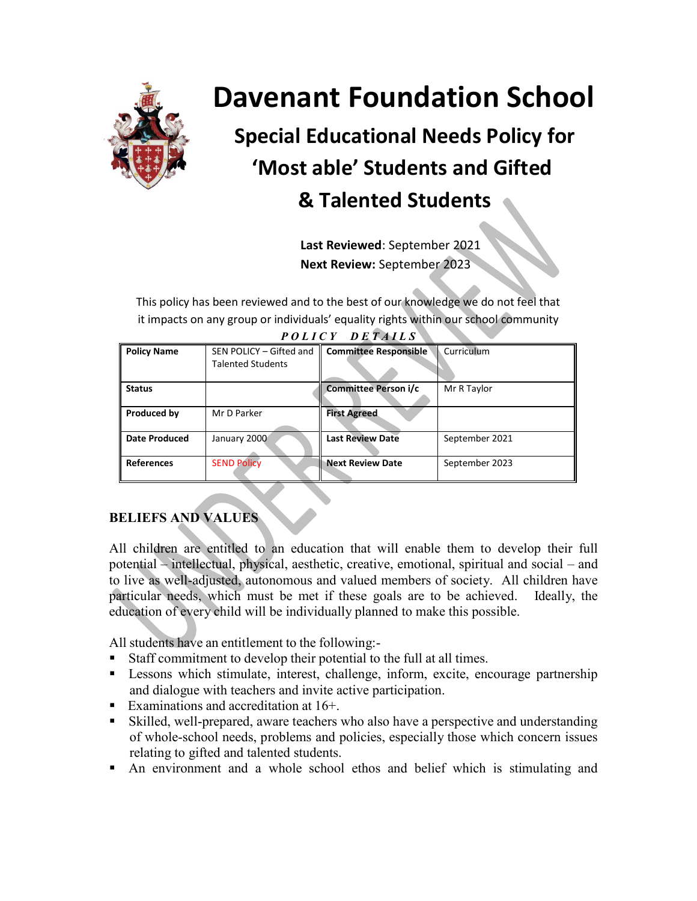

# **Davenant Foundation School**

## **Special Educational Needs Policy for 'Most able' Students and Gifted & Talented Students**

**Last Reviewed**: September 2021 **Next Review:** September 2023

This policy has been reviewed and to the best of our knowledge we do not feel that it impacts on any group or individuals' equality rights within our school community

| <b>Policy Name</b>   | SEN POLICY - Gifted and<br><b>Talented Students</b> | <b>Committee Responsible</b> | Curriculum     |
|----------------------|-----------------------------------------------------|------------------------------|----------------|
| <b>Status</b>        |                                                     | Committee Person i/c         | Mr R Taylor    |
| Produced by          | Mr D Parker                                         | <b>First Agreed</b>          |                |
| <b>Date Produced</b> | January 2000                                        | <b>Last Review Date</b>      | September 2021 |
| References           | <b>SEND Policy</b>                                  | <b>Next Review Date</b>      | September 2023 |

*P O L I C Y D E T A I L S*

## **BELIEFS AND VALUES**

All children are entitled to an education that will enable them to develop their full potential – intellectual, physical, aesthetic, creative, emotional, spiritual and social – and to live as well-adjusted, autonomous and valued members of society. All children have particular needs, which must be met if these goals are to be achieved. Ideally, the education of every child will be individually planned to make this possible.

All students have an entitlement to the following:-

- Staff commitment to develop their potential to the full at all times.
- Lessons which stimulate, interest, challenge, inform, excite, encourage partnership and dialogue with teachers and invite active participation.
- Examinations and accreditation at  $16+$ .
- Skilled, well-prepared, aware teachers who also have a perspective and understanding of whole-school needs, problems and policies, especially those which concern issues relating to gifted and talented students.
- An environment and a whole school ethos and belief which is stimulating and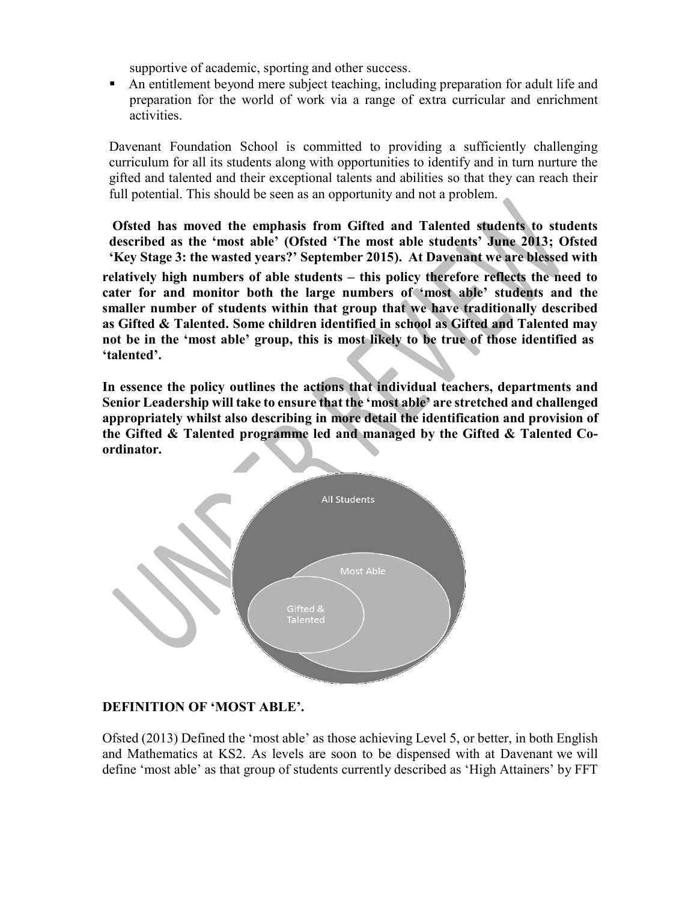supportive of academic, sporting and other success.

 An entitlement beyond mere subject teaching, including preparation for adult life and preparation for the world of work via a range of extra curricular and enrichment activities.

Davenant Foundation School is committed to providing a sufficiently challenging curriculum for all its students along with opportunities to identify and in turn nurture the gifted and talented and their exceptional talents and abilities so that they can reach their full potential. This should be seen as an opportunity and not a problem.

**Ofsted has moved the emphasis from Gifted and Talented students to students described as the 'most able' (Ofsted 'The most able students' June 2013; Ofsted 'Key Stage 3: the wasted years?' September 2015). At Davenant we are blessed with relatively high numbers of able students – this policy therefore reflects the need to cater for and monitor both the large numbers of 'most able' students and the smaller number of students within that group that we have traditionally described as Gifted & Talented. Some children identified in school as Gifted and Talented may**  not be in the 'most able' group, this is most likely to be true of those identified as **'talented'.**

**In essence the policy outlines the actions that individual teachers, departments and Senior Leadership will take to ensure that the 'most able' are stretched and challenged appropriately whilst also describing in more detail the identification and provision of the Gifted & Talented programme led and managed by the Gifted & Talented Coordinator.**



#### **DEFINITION OF 'MOST ABLE'.**

Ofsted (2013) Defined the 'most able' as those achieving Level 5, or better, in both English and Mathematics at KS2. As levels are soon to be dispensed with at Davenant we will define 'most able' as that group of students currently described as 'High Attainers' by FFT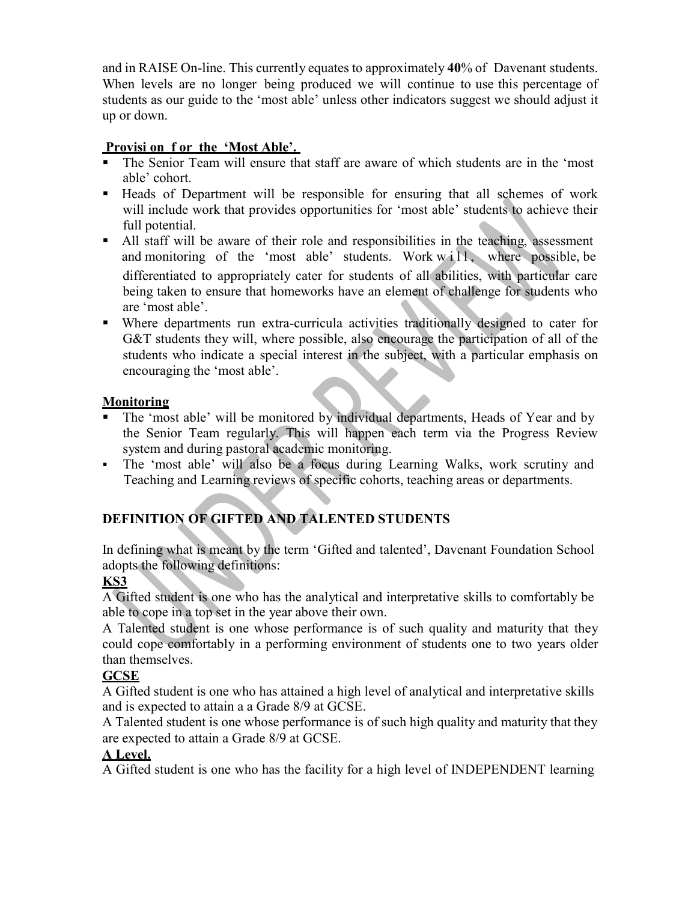and in RAISE On-line. This currently equates to approximately **40**% of Davenant students. When levels are no longer being produced we will continue to use this percentage of students as our guide to the 'most able' unless other indicators suggest we should adjust it up or down.

#### **Provisi on f or the 'Most Able'.**

- The Senior Team will ensure that staff are aware of which students are in the 'most able' cohort.
- Heads of Department will be responsible for ensuring that all schemes of work will include work that provides opportunities for 'most able' students to achieve their full potential.
- All staff will be aware of their role and responsibilities in the teaching, assessment and monitoring of the 'most able' students. Work  $with 1, where possible, be$ differentiated to appropriately cater for students of all abilities, with particular care being taken to ensure that homeworks have an element of challenge for students who are 'most able'.
- Where departments run extra-curricula activities traditionally designed to cater for G&T students they will, where possible, also encourage the participation of all of the students who indicate a special interest in the subject, with a particular emphasis on encouraging the 'most able'.

#### **Monitoring**

- The 'most able' will be monitored by individual departments, Heads of Year and by the Senior Team regularly. This will happen each term via the Progress Review system and during pastoral academic monitoring.
- The 'most able' will also be a focus during Learning Walks, work scrutiny and Teaching and Learning reviews of specific cohorts, teaching areas or departments.

## **DEFINITION OF GIFTED AND TALENTED STUDENTS**

In defining what is meant by the term 'Gifted and talented', Davenant Foundation School adopts the following definitions:

#### **KS3**

A Gifted student is one who has the analytical and interpretative skills to comfortably be able to cope in a top set in the year above their own.

A Talented student is one whose performance is of such quality and maturity that they could cope comfortably in a performing environment of students one to two years older than themselves.

## **GCSE**

A Gifted student is one who has attained a high level of analytical and interpretative skills and is expected to attain a a Grade 8/9 at GCSE.

A Talented student is one whose performance is of such high quality and maturity that they are expected to attain a Grade 8/9 at GCSE.

### **A Level.**

A Gifted student is one who has the facility for a high level of INDEPENDENT learning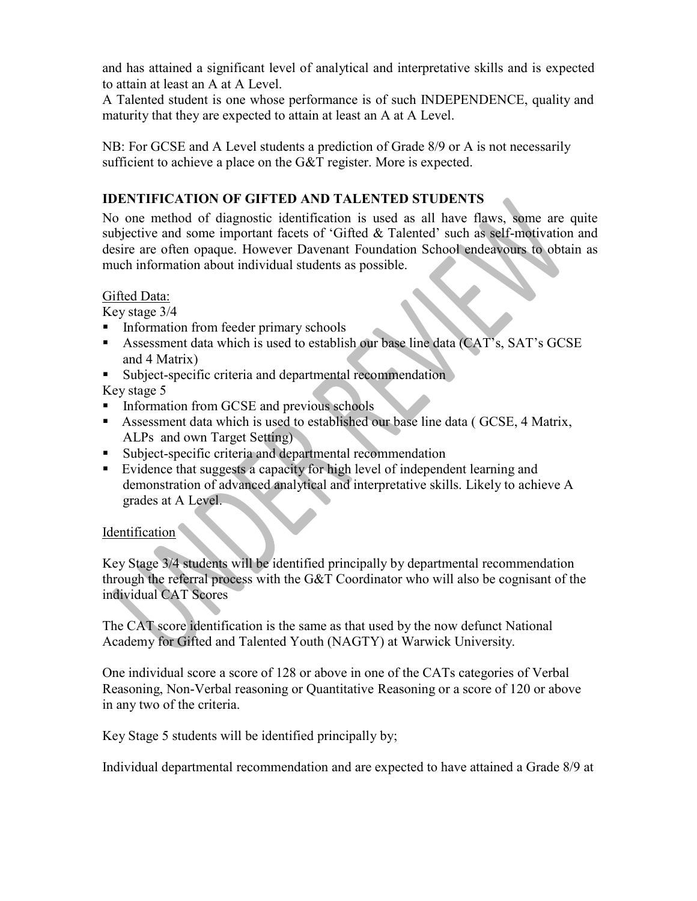and has attained a significant level of analytical and interpretative skills and is expected to attain at least an A at A Level.

A Talented student is one whose performance is of such INDEPENDENCE, quality and maturity that they are expected to attain at least an A at A Level.

NB: For GCSE and A Level students a prediction of Grade 8/9 or A is not necessarily sufficient to achieve a place on the G&T register. More is expected.

#### **IDENTIFICATION OF GIFTED AND TALENTED STUDENTS**

No one method of diagnostic identification is used as all have flaws, some are quite subjective and some important facets of 'Gifted & Talented' such as self-motivation and desire are often opaque. However Davenant Foundation School endeavours to obtain as much information about individual students as possible.

#### Gifted Data:

Key stage 3/4

- Information from feeder primary schools
- Assessment data which is used to establish our base line data (CAT's, SAT's GCSE and 4 Matrix)
- Subject-specific criteria and departmental recommendation

Key stage 5

- **Information from GCSE and previous schools**
- Assessment data which is used to established our base line data ( GCSE, 4 Matrix, ALPs and own Target Setting)
- Subject-specific criteria and departmental recommendation
- Evidence that suggests a capacity for high level of independent learning and demonstration of advanced analytical and interpretative skills. Likely to achieve A grades at A Level.

#### Identification

Key Stage 3/4 students will be identified principally by departmental recommendation through the referral process with the G&T Coordinator who will also be cognisant of the individual CAT Scores

The CAT score identification is the same as that used by the now defunct National Academy for Gifted and Talented Youth (NAGTY) at Warwick University.

One individual score a score of 128 or above in one of the CATs categories of Verbal Reasoning, Non-Verbal reasoning or Quantitative Reasoning or a score of 120 or above in any two of the criteria.

Key Stage 5 students will be identified principally by;

Individual departmental recommendation and are expected to have attained a Grade 8/9 at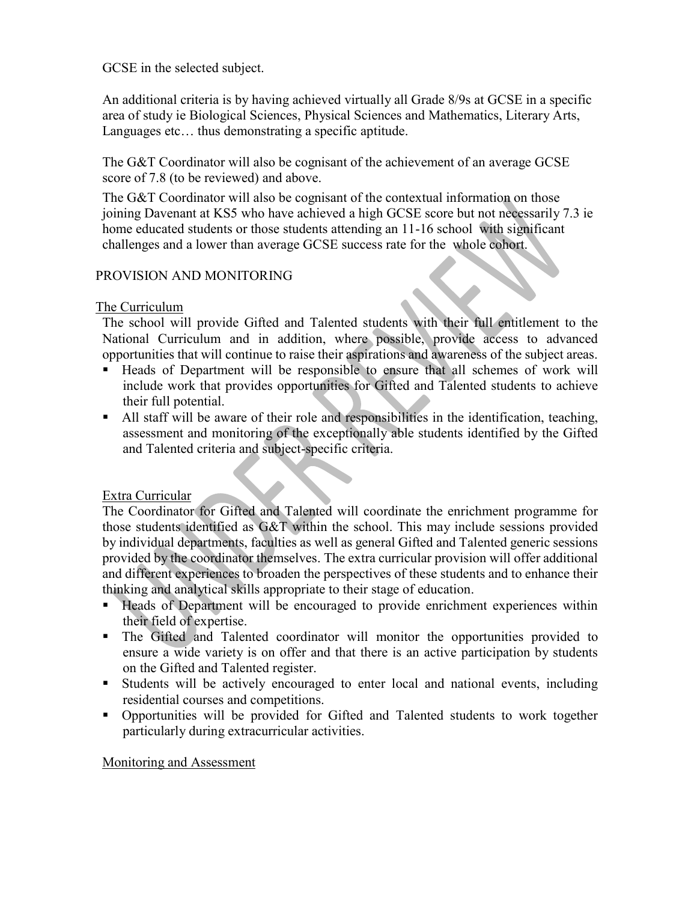GCSE in the selected subject.

An additional criteria is by having achieved virtually all Grade 8/9s at GCSE in a specific area of study ie Biological Sciences, Physical Sciences and Mathematics, Literary Arts, Languages etc… thus demonstrating a specific aptitude.

The G&T Coordinator will also be cognisant of the achievement of an average GCSE score of 7.8 (to be reviewed) and above.

The G&T Coordinator will also be cognisant of the contextual information on those joining Davenant at KS5 who have achieved a high GCSE score but not necessarily 7.3 ie home educated students or those students attending an 11-16 school with significant challenges and a lower than average GCSE success rate for the whole cohort.

#### PROVISION AND MONITORING

#### The Curriculum

The school will provide Gifted and Talented students with their full entitlement to the National Curriculum and in addition, where possible, provide access to advanced opportunities that will continue to raise their aspirations and awareness of the subject areas.

- Heads of Department will be responsible to ensure that all schemes of work will include work that provides opportunities for Gifted and Talented students to achieve their full potential.
- All staff will be aware of their role and responsibilities in the identification, teaching, assessment and monitoring of the exceptionally able students identified by the Gifted and Talented criteria and subject-specific criteria.

#### Extra Curricular

The Coordinator for Gifted and Talented will coordinate the enrichment programme for those students identified as G&T within the school. This may include sessions provided by individual departments, faculties as well as general Gifted and Talented generic sessions provided by the coordinator themselves. The extra curricular provision will offer additional and different experiences to broaden the perspectives of these students and to enhance their thinking and analytical skills appropriate to their stage of education.

- Heads of Department will be encouraged to provide enrichment experiences within their field of expertise.
- The Gifted and Talented coordinator will monitor the opportunities provided to ensure a wide variety is on offer and that there is an active participation by students on the Gifted and Talented register.
- Students will be actively encouraged to enter local and national events, including residential courses and competitions.
- Opportunities will be provided for Gifted and Talented students to work together particularly during extracurricular activities.

Monitoring and Assessment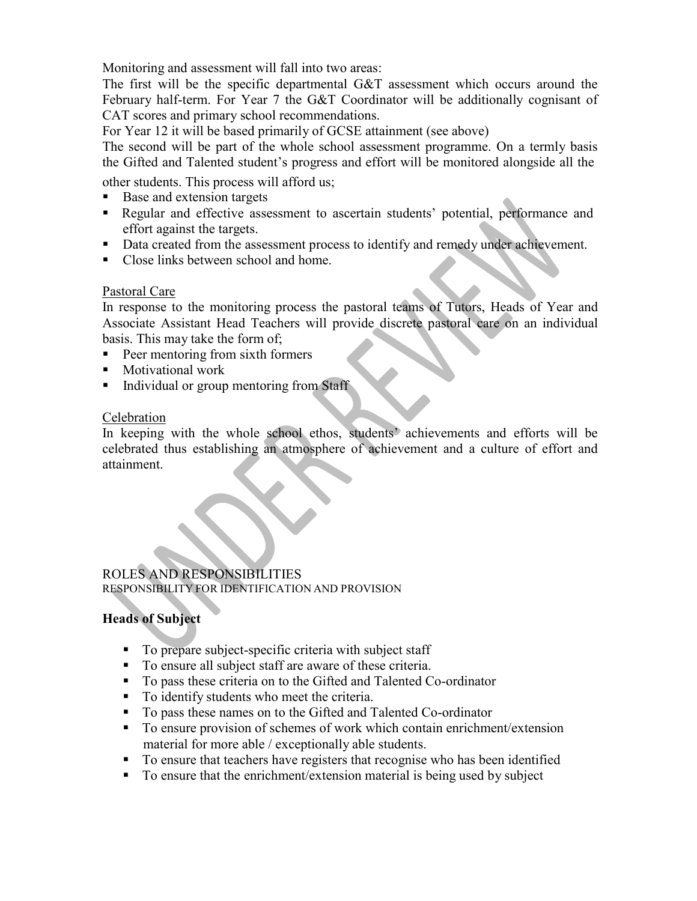Monitoring and assessment will fall into two areas:

The first will be the specific departmental G&T assessment which occurs around the February half-term. For Year 7 the G&T Coordinator will be additionally cognisant of CAT scores and primary school recommendations.

For Year 12 it will be based primarily of GCSE attainment (see above)

The second will be part of the whole school assessment programme. On a termly basis the Gifted and Talented student's progress and effort will be monitored alongside all the

other students. This process will afford us;

- Base and extension targets
- Regular and effective assessment to ascertain students' potential, performance and effort against the targets.
- Data created from the assessment process to identify and remedy under achievement.
- Close links between school and home.

#### Pastoral Care

In response to the monitoring process the pastoral teams of Tutors, Heads of Year and Associate Assistant Head Teachers will provide discrete pastoral care on an individual basis. This may take the form of;

- Peer mentoring from sixth formers
- Motivational work
- Individual or group mentoring from Staff

#### Celebration

In keeping with the whole school ethos, students' achievements and efforts will be celebrated thus establishing an atmosphere of achievement and a culture of effort and attainment.

#### ROLES AND RESPONSIBILITIES RESPONSIBILITY FOR IDENTIFICATION AND PROVISION

#### **Heads of Subject**

- To prepare subject-specific criteria with subject staff
- To ensure all subject staff are aware of these criteria.
- To pass these criteria on to the Gifted and Talented Co-ordinator
- To identify students who meet the criteria.
- To pass these names on to the Gifted and Talented Co-ordinator
- To ensure provision of schemes of work which contain enrichment/extension material for more able / exceptionally able students.
- To ensure that teachers have registers that recognise who has been identified
- To ensure that the enrichment/extension material is being used by subject